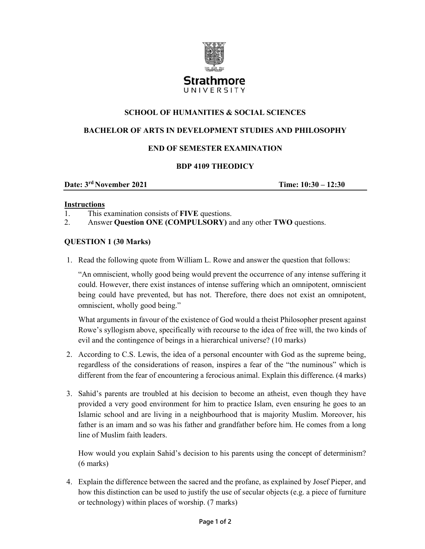

# **SCHOOL OF HUMANITIES & SOCIAL SCIENCES**

### **BACHELOR OF ARTS IN DEVELOPMENT STUDIES AND PHILOSOPHY**

# **END OF SEMESTER EXAMINATION**

### **BDP 4109 THEODICY**

**Date:**  $3^{rd}$  November 2021 **Time:**  $10:30 - 12:30$ 

#### **Instructions**

1. This examination consists of **FIVE** questions.

2. Answer **Question ONE (COMPULSORY)** and any other **TWO** questions.

#### **QUESTION 1 (30 Marks)**

1. Read the following quote from William L. Rowe and answer the question that follows:

"An omniscient, wholly good being would prevent the occurrence of any intense suffering it could. However, there exist instances of intense suffering which an omnipotent, omniscient being could have prevented, but has not. Therefore, there does not exist an omnipotent, omniscient, wholly good being."

What arguments in favour of the existence of God would a theist Philosopher present against Rowe's syllogism above, specifically with recourse to the idea of free will, the two kinds of evil and the contingence of beings in a hierarchical universe? (10 marks)

- 2. According to C.S. Lewis, the idea of a personal encounter with God as the supreme being, regardless of the considerations of reason, inspires a fear of the "the numinous" which is different from the fear of encountering a ferocious animal. Explain this difference. (4 marks)
- 3. Sahid's parents are troubled at his decision to become an atheist, even though they have provided a very good environment for him to practice Islam, even ensuring he goes to an Islamic school and are living in a neighbourhood that is majority Muslim. Moreover, his father is an imam and so was his father and grandfather before him. He comes from a long line of Muslim faith leaders.

How would you explain Sahid's decision to his parents using the concept of determinism? (6 marks)

4. Explain the difference between the sacred and the profane, as explained by Josef Pieper, and how this distinction can be used to justify the use of secular objects (e.g. a piece of furniture or technology) within places of worship. (7 marks)